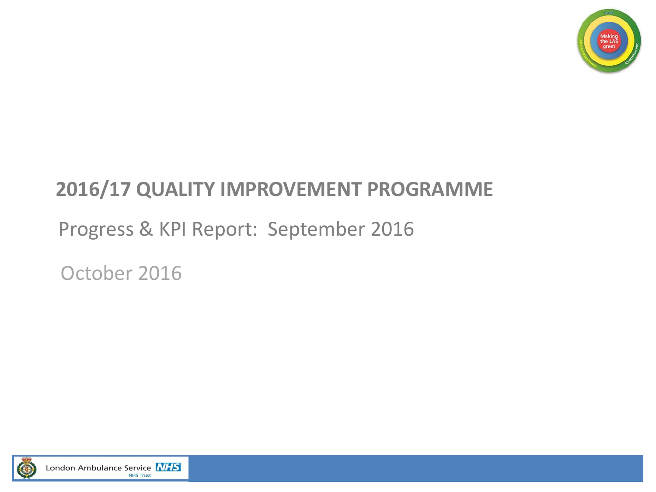

# **2016/17 QUALITY IMPROVEMENT PROGRAMME**

# Progress & KPI Report: September 2016

October 2016

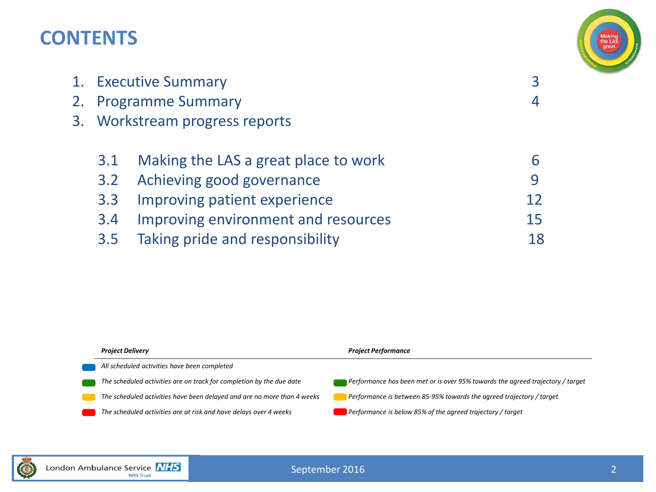### **CONTENTS**



| 1. Executive Summary |                                      |    |
|----------------------|--------------------------------------|----|
|                      | 2. Programme Summary                 |    |
|                      | 3. Workstream progress reports       |    |
|                      |                                      |    |
| 3.1                  | Making the LAS a great place to work |    |
| 3.2                  | Achieving good governance            | 9  |
| 3.3                  | Improving patient experience         | 12 |
| 3.4                  | Improving environment and resources  | 15 |
| 3.5                  | Taking pride and responsibility      | 18 |
|                      |                                      |    |



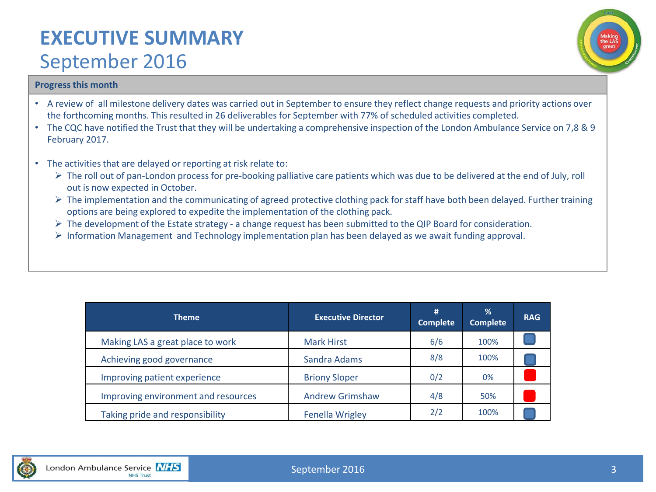### **EXECUTIVE SUMMARY**  September 2016



### **Progress this month**

- A review of all milestone delivery dates was carried out in September to ensure they reflect change requests and priority actions over the forthcoming months. This resulted in 26 deliverables for September with 77% of scheduled activities completed.
- The CQC have notified the Trust that they will be undertaking a comprehensive inspection of the London Ambulance Service on 7,8 & 9 February 2017.
- The activities that are delayed or reporting at risk relate to:
	- Fig. The roll out of pan-London process for pre-booking palliative care patients which was due to be delivered at the end of July, roll out is now expected in October.
	- $\triangleright$  The implementation and the communicating of agreed protective clothing pack for staff have both been delayed. Further training options are being explored to expedite the implementation of the clothing pack.
	- $\triangleright$  The development of the Estate strategy a change request has been submitted to the QIP Board for consideration.
	- $\triangleright$  Information Management and Technology implementation plan has been delayed as we await funding approval.

| <b>Theme</b>                        | <b>Executive Director</b> | #<br><b>Complete</b> | $\frac{9}{6}$<br><b>Complete</b> | <b>RAG</b> |
|-------------------------------------|---------------------------|----------------------|----------------------------------|------------|
| Making LAS a great place to work    | <b>Mark Hirst</b>         | 6/6                  | 100%                             |            |
| Achieving good governance           | Sandra Adams              | 8/8                  | 100%                             |            |
| Improving patient experience        | <b>Briony Sloper</b>      | 0/2                  | 0%                               |            |
| Improving environment and resources | <b>Andrew Grimshaw</b>    | 4/8                  | 50%                              |            |
| Taking pride and responsibility     | <b>Fenella Wrigley</b>    | 2/2                  | 100%                             |            |

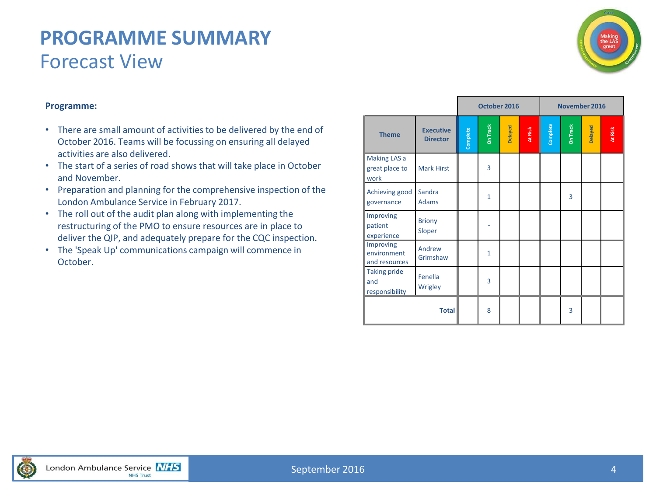### **PROGRAMME SUMMARY** Forecast View



### **Programme:**

- There are small amount of activities to be delivered by the end of October 2016. Teams will be focussing on ensuring all delayed activities are also delivered.
- The start of a series of road shows that will take place in October and November.
- Preparation and planning for the comprehensive inspection of the London Ambulance Service in February 2017.
- The roll out of the audit plan along with implementing the restructuring of the PMO to ensure resources are in place to deliver the QIP, and adequately prepare for the CQC inspection.
- The 'Speak Up' communications campaign will commence in October.

|                                                                    |                                     | October 2016 |                 |         | November 2016 |          |                 |         |         |
|--------------------------------------------------------------------|-------------------------------------|--------------|-----------------|---------|---------------|----------|-----------------|---------|---------|
| <b>Theme</b>                                                       | <b>Executive</b><br><b>Director</b> | Complete     | <b>On Track</b> | Delayed | At Risk       | Complete | <b>On Track</b> | Delayed | At Risk |
| Making LAS a<br>great place to<br>work                             | <b>Mark Hirst</b>                   |              | 3               |         |               |          |                 |         |         |
| Achieving good<br>governance                                       | Sandra<br><b>Adams</b>              |              | $\mathbf{1}$    |         |               |          | 3               |         |         |
| Improving<br>patient<br>experience                                 | <b>Briony</b><br>Sloper             |              |                 |         |               |          |                 |         |         |
| Improving<br>environment<br>and resources                          | Andrew<br>Grimshaw                  |              | $\mathbf{1}$    |         |               |          |                 |         |         |
| <b>Taking pride</b><br>Fenella<br>and<br>Wrigley<br>responsibility |                                     |              | $\overline{3}$  |         |               |          |                 |         |         |
|                                                                    |                                     | 8            |                 |         |               | 3        |                 |         |         |

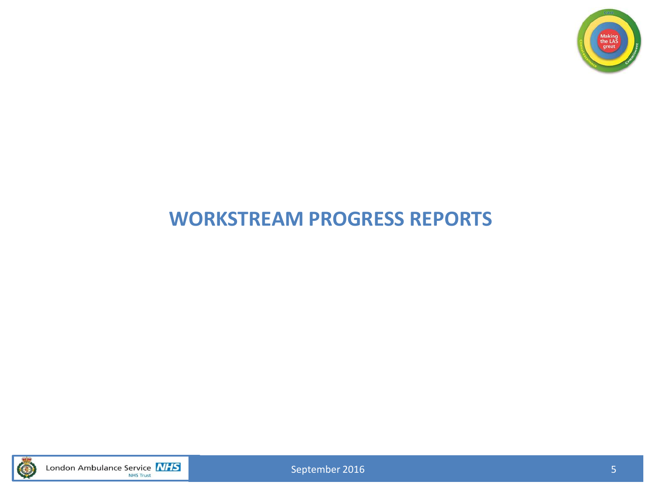

# **WORKSTREAM PROGRESS REPORTS**



London Ambulance Service **NHS** 

September 2016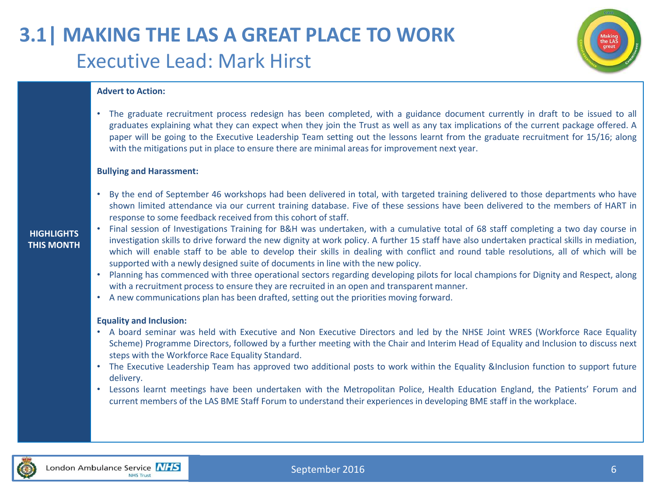# **3.1| MAKING THE LAS A GREAT PLACE TO WORK** Executive Lead: Mark Hirst



#### **Advert to Action:**

• The graduate recruitment process redesign has been completed, with a guidance document currently in draft to be issued to all graduates explaining what they can expect when they join the Trust as well as any tax implications of the current package offered. A paper will be going to the Executive Leadership Team setting out the lessons learnt from the graduate recruitment for 15/16; along with the mitigations put in place to ensure there are minimal areas for improvement next year.

#### **Bullying and Harassment:**

• By the end of September 46 workshops had been delivered in total, with targeted training delivered to those departments who have shown limited attendance via our current training database. Five of these sessions have been delivered to the members of HART in response to some feedback received from this cohort of staff.

#### **HIGHLIGHTS THIS MONTH**

- Final session of Investigations Training for B&H was undertaken, with a cumulative total of 68 staff completing a two day course in investigation skills to drive forward the new dignity at work policy. A further 15 staff have also undertaken practical skills in mediation, which will enable staff to be able to develop their skills in dealing with conflict and round table resolutions, all of which will be supported with a newly designed suite of documents in line with the new policy.
	- Planning has commenced with three operational sectors regarding developing pilots for local champions for Dignity and Respect, along with a recruitment process to ensure they are recruited in an open and transparent manner.
	- A new communications plan has been drafted, setting out the priorities moving forward.

#### **Equality and Inclusion:**

- A board seminar was held with Executive and Non Executive Directors and led by the NHSE Joint WRES (Workforce Race Equality Scheme) Programme Directors, followed by a further meeting with the Chair and Interim Head of Equality and Inclusion to discuss next steps with the Workforce Race Equality Standard.
- The Executive Leadership Team has approved two additional posts to work within the Equality &Inclusion function to support future delivery.
- Lessons learnt meetings have been undertaken with the Metropolitan Police, Health Education England, the Patients' Forum and current members of the LAS BME Staff Forum to understand their experiences in developing BME staff in the workplace.

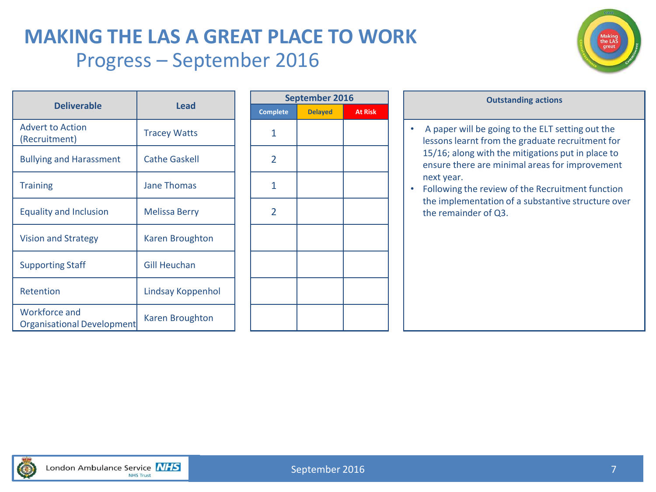### **MAKING THE LAS A GREAT PLACE TO WORK** Progress – September 2016



| <b>Deliverable</b>                          | Lead                   | Comp |
|---------------------------------------------|------------------------|------|
| <b>Advert to Action</b><br>(Recruitment)    | <b>Tracey Watts</b>    | 1    |
| <b>Bullying and Harassment</b>              | <b>Cathe Gaskell</b>   | 2    |
| <b>Training</b>                             | <b>Jane Thomas</b>     | 1    |
| <b>Equality and Inclusion</b>               | Melissa Berry          | 2    |
| <b>Vision and Strategy</b>                  | <b>Karen Broughton</b> |      |
| <b>Supporting Staff</b>                     | <b>Gill Heuchan</b>    |      |
| Retention                                   | Lindsay Koppenhol      |      |
| Workforce and<br>Organisational Development | Karen Broughton        |      |

| September 2016  |                |                |  |  |  |  |  |  |  |
|-----------------|----------------|----------------|--|--|--|--|--|--|--|
| <b>Complete</b> | <b>Delayed</b> | <b>At Risk</b> |  |  |  |  |  |  |  |
| $\mathbf{1}$    |                |                |  |  |  |  |  |  |  |
| $\overline{2}$  |                |                |  |  |  |  |  |  |  |
| 1               |                |                |  |  |  |  |  |  |  |
| $\overline{2}$  |                |                |  |  |  |  |  |  |  |
|                 |                |                |  |  |  |  |  |  |  |
|                 |                |                |  |  |  |  |  |  |  |
|                 |                |                |  |  |  |  |  |  |  |
|                 |                |                |  |  |  |  |  |  |  |

#### **Outstanding** actions

- A paper will be going to the ELT setting out the lessons learnt from the graduate recruitment for 15/16; along with the mitigations put in place to ensure there are minimal areas for improvement next year.
- Following the review of the Recruitment function the implementation of a substantive structure over the remainder of Q3.

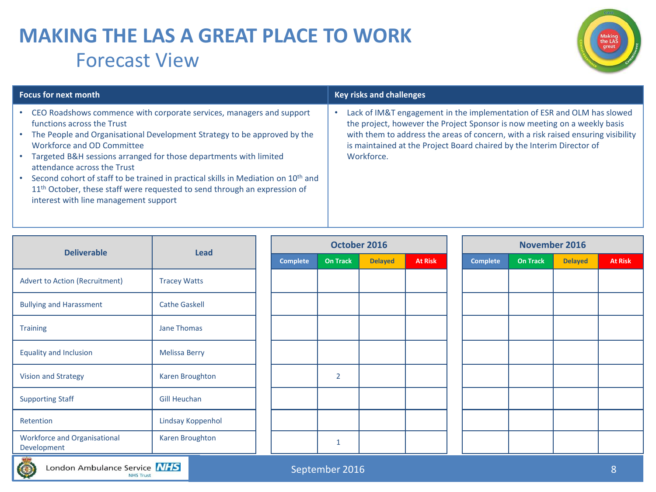# **MAKING THE LAS A GREAT PLACE TO WORK** Forecast View



| <b>Focus for next month</b>                                                                                                                                                                                                     | <b>Key risks and challenges</b>                                                                                                                            |  |  |  |  |  |
|---------------------------------------------------------------------------------------------------------------------------------------------------------------------------------------------------------------------------------|------------------------------------------------------------------------------------------------------------------------------------------------------------|--|--|--|--|--|
| CEO Roadshows commence with corporate services, managers and support<br>functions across the Trust                                                                                                                              | Lack of IM&T engagement in the implementation of ESR and OLM has slowed<br>the project, however the Project Sponsor is now meeting on a weekly basis       |  |  |  |  |  |
| The People and Organisational Development Strategy to be approved by the<br>Workforce and OD Committee                                                                                                                          | with them to address the areas of concern, with a risk raised ensuring visibility<br>is maintained at the Project Board chaired by the Interim Director of |  |  |  |  |  |
| Targeted B&H sessions arranged for those departments with limited<br>attendance across the Trust                                                                                                                                | Workforce.                                                                                                                                                 |  |  |  |  |  |
| Second cohort of staff to be trained in practical skills in Mediation on 10 <sup>th</sup> and<br>11 <sup>th</sup> October, these staff were requested to send through an expression of<br>interest with line management support |                                                                                                                                                            |  |  |  |  |  |

| <b>Deliverable</b>                                 |                      |  |          |                 | October 2016   |                | November 2016   |          |                |                |  |
|----------------------------------------------------|----------------------|--|----------|-----------------|----------------|----------------|-----------------|----------|----------------|----------------|--|
|                                                    | <b>Lead</b>          |  | Complete | <b>On Track</b> | <b>Delayed</b> | <b>At Risk</b> | <b>Complete</b> | On Track | <b>Delayed</b> | <b>At Risk</b> |  |
| <b>Advert to Action (Recruitment)</b>              | <b>Tracey Watts</b>  |  |          |                 |                |                |                 |          |                |                |  |
| <b>Bullying and Harassment</b>                     | <b>Cathe Gaskell</b> |  |          |                 |                |                |                 |          |                |                |  |
| Jane Thomas<br><b>Training</b>                     |                      |  |          |                 |                |                |                 |          |                |                |  |
| <b>Equality and Inclusion</b>                      | <b>Melissa Berry</b> |  |          |                 |                |                |                 |          |                |                |  |
| <b>Vision and Strategy</b>                         | Karen Broughton      |  |          | $\overline{2}$  |                |                |                 |          |                |                |  |
| <b>Supporting Staff</b>                            | <b>Gill Heuchan</b>  |  |          |                 |                |                |                 |          |                |                |  |
| Retention                                          | Lindsay Koppenhol    |  |          |                 |                |                |                 |          |                |                |  |
| <b>Workforce and Organisational</b><br>Development | Karen Broughton      |  |          | $\mathbf{1}$    |                |                |                 |          |                |                |  |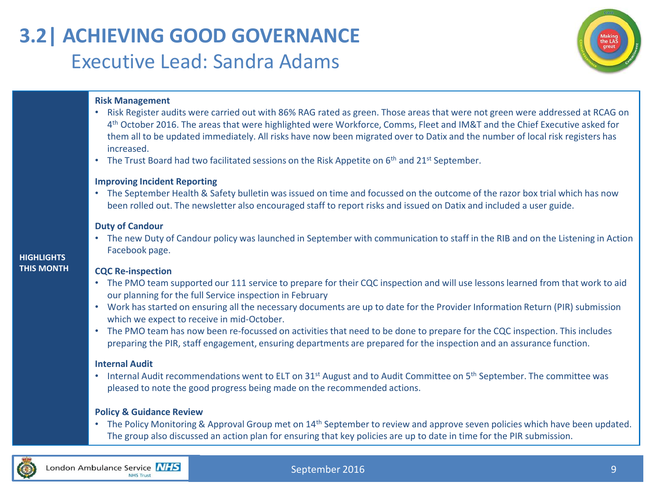# **3.2| ACHIEVING GOOD GOVERNANCE** Executive Lead: Sandra Adams



### **Risk Management**

- Risk Register audits were carried out with 86% RAG rated as green. Those areas that were not green were addressed at RCAG on 4 th October 2016. The areas that were highlighted were Workforce, Comms, Fleet and IM&T and the Chief Executive asked for them all to be updated immediately. All risks have now been migrated over to Datix and the number of local risk registers has increased.
- The Trust Board had two facilitated sessions on the Risk Appetite on  $6<sup>th</sup>$  and 21st September.

### **Improving Incident Reporting**

• The September Health & Safety bulletin was issued on time and focussed on the outcome of the razor box trial which has now been rolled out. The newsletter also encouraged staff to report risks and issued on Datix and included a user guide.

#### **Duty of Candour**

• The new Duty of Candour policy was launched in September with communication to staff in the RIB and on the Listening in Action Facebook page.

#### **CQC Re-inspection**

- The PMO team supported our 111 service to prepare for their CQC inspection and will use lessons learned from that work to aid our planning for the full Service inspection in February
- Work has started on ensuring all the necessary documents are up to date for the Provider Information Return (PIR) submission which we expect to receive in mid-October.
- The PMO team has now been re-focussed on activities that need to be done to prepare for the CQC inspection. This includes preparing the PIR, staff engagement, ensuring departments are prepared for the inspection and an assurance function.

#### **Internal Audit**

• Internal Audit recommendations went to ELT on  $31^{st}$  August and to Audit Committee on  $5^{th}$  September. The committee was pleased to note the good progress being made on the recommended actions.

#### **Policy & Guidance Review**

• The Policy Monitoring & Approval Group met on 14<sup>th</sup> September to review and approve seven policies which have been updated. The group also discussed an action plan for ensuring that key policies are up to date in time for the PIR submission.



### September 2016

### **HIGHLIGHTS THIS MONTH**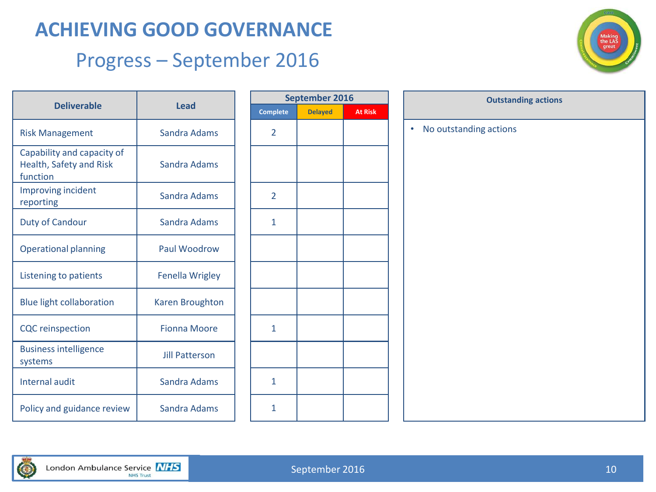## **ACHIEVING GOOD GOVERNANCE**

### Progress – September 2016



| <b>Deliverable</b>                                                | Lead                   | Comp |
|-------------------------------------------------------------------|------------------------|------|
| <b>Risk Management</b>                                            | Sandra Adams           | 2    |
| Capability and capacity of<br>Health, Safety and Risk<br>function | Sandra Adams           |      |
| Improving incident<br>reporting                                   | Sandra Adams           | 2    |
| Duty of Candour                                                   | Sandra Adams           | 1    |
| <b>Operational planning</b>                                       | Paul Woodrow           |      |
| Listening to patients                                             | <b>Fenella Wrigley</b> |      |
| <b>Blue light collaboration</b>                                   | <b>Karen Broughton</b> |      |
| <b>CQC</b> reinspection                                           | <b>Fionna Moore</b>    | 1    |
| <b>Business intelligence</b><br>systems                           | <b>Jill Patterson</b>  |      |
| <b>Internal audit</b>                                             | Sandra Adams           | 1    |
| Policy and guidance review                                        | <b>Sandra Adams</b>    | 1    |

| September 2016 |                |                |  |  |  |  |  |  |  |  |
|----------------|----------------|----------------|--|--|--|--|--|--|--|--|
| Complete       | <b>Delayed</b> | <b>At Risk</b> |  |  |  |  |  |  |  |  |
| $\overline{2}$ |                |                |  |  |  |  |  |  |  |  |
|                |                |                |  |  |  |  |  |  |  |  |
| $\overline{2}$ |                |                |  |  |  |  |  |  |  |  |
| $\mathbf{1}$   |                |                |  |  |  |  |  |  |  |  |
|                |                |                |  |  |  |  |  |  |  |  |
|                |                |                |  |  |  |  |  |  |  |  |
|                |                |                |  |  |  |  |  |  |  |  |
| $\mathbf{1}$   |                |                |  |  |  |  |  |  |  |  |
|                |                |                |  |  |  |  |  |  |  |  |
| $\mathbf{1}$   |                |                |  |  |  |  |  |  |  |  |
| $\mathbf{1}$   |                |                |  |  |  |  |  |  |  |  |

|   | September 2016<br><b>Outstanding actions</b> |                |                                     |  |  |  |  |  |  |
|---|----------------------------------------------|----------------|-------------------------------------|--|--|--|--|--|--|
| ė | <b>Delayed</b>                               | <b>At Risk</b> |                                     |  |  |  |  |  |  |
|   |                                              |                | No outstanding actions<br>$\bullet$ |  |  |  |  |  |  |
|   |                                              |                |                                     |  |  |  |  |  |  |
|   |                                              |                |                                     |  |  |  |  |  |  |
|   |                                              |                |                                     |  |  |  |  |  |  |
|   |                                              |                |                                     |  |  |  |  |  |  |
|   |                                              |                |                                     |  |  |  |  |  |  |
|   |                                              |                |                                     |  |  |  |  |  |  |
|   |                                              |                |                                     |  |  |  |  |  |  |
|   |                                              |                |                                     |  |  |  |  |  |  |
|   |                                              |                |                                     |  |  |  |  |  |  |
|   |                                              |                |                                     |  |  |  |  |  |  |
|   |                                              |                |                                     |  |  |  |  |  |  |
|   |                                              |                |                                     |  |  |  |  |  |  |
|   |                                              |                |                                     |  |  |  |  |  |  |
|   |                                              |                |                                     |  |  |  |  |  |  |
|   |                                              |                |                                     |  |  |  |  |  |  |
|   |                                              |                |                                     |  |  |  |  |  |  |
|   |                                              |                |                                     |  |  |  |  |  |  |
|   |                                              |                |                                     |  |  |  |  |  |  |
|   |                                              |                |                                     |  |  |  |  |  |  |
|   |                                              |                |                                     |  |  |  |  |  |  |

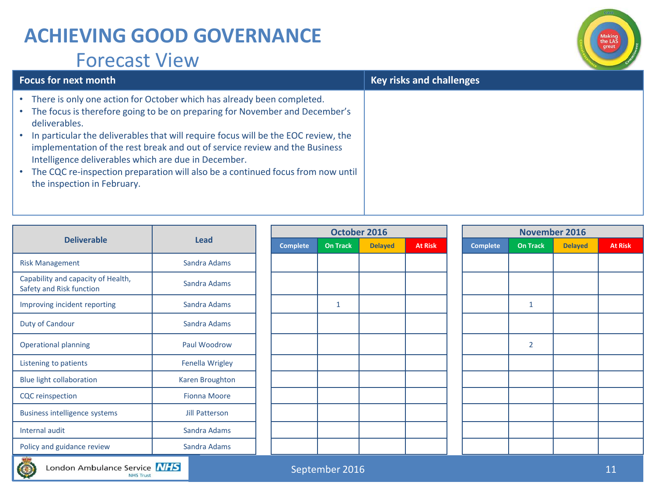### **ACHIEVING GOOD GOVERNANCE** Forecast View



| <b>Focus for next month</b>                                                                                                                                                                                                                                                                                                                                                                                                                                                                                                   | <b>Key risks and challenges</b> |
|-------------------------------------------------------------------------------------------------------------------------------------------------------------------------------------------------------------------------------------------------------------------------------------------------------------------------------------------------------------------------------------------------------------------------------------------------------------------------------------------------------------------------------|---------------------------------|
| • There is only one action for October which has already been completed.<br>• The focus is therefore going to be on preparing for November and December's<br>deliverables.<br>• In particular the deliverables that will require focus will be the EOC review, the<br>implementation of the rest break and out of service review and the Business<br>Intelligence deliverables which are due in December.<br>• The CQC re-inspection preparation will also be a continued focus from now until<br>the inspection in February. |                                 |

|                                                                | <b>Lead</b>         |  |                 | October 2016 |                |                | November 2016   |                 |                |                |
|----------------------------------------------------------------|---------------------|--|-----------------|--------------|----------------|----------------|-----------------|-----------------|----------------|----------------|
| <b>Deliverable</b>                                             |                     |  | <b>Complete</b> | On Track     | <b>Delayed</b> | <b>At Risk</b> | <b>Complete</b> | <b>On Track</b> | <b>Delayed</b> | <b>At Risk</b> |
| <b>Risk Management</b>                                         | Sandra Adams        |  |                 |              |                |                |                 |                 |                |                |
| Capability and capacity of Health,<br>Safety and Risk function | Sandra Adams        |  |                 |              |                |                |                 |                 |                |                |
| Improving incident reporting                                   | Sandra Adams        |  |                 | $\mathbf{1}$ |                |                |                 | 1               |                |                |
| Duty of Candour                                                | Sandra Adams        |  |                 |              |                |                |                 |                 |                |                |
| <b>Operational planning</b>                                    | Paul Woodrow        |  |                 |              |                |                |                 | $\overline{2}$  |                |                |
| Listening to patients                                          | Fenella Wrigley     |  |                 |              |                |                |                 |                 |                |                |
| <b>Blue light collaboration</b>                                | Karen Broughton     |  |                 |              |                |                |                 |                 |                |                |
| <b>CQC</b> reinspection                                        | <b>Fionna Moore</b> |  |                 |              |                |                |                 |                 |                |                |
| <b>Business intelligence systems</b>                           | Jill Patterson      |  |                 |              |                |                |                 |                 |                |                |
| Internal audit                                                 | Sandra Adams        |  |                 |              |                |                |                 |                 |                |                |
| Policy and guidance review                                     | Sandra Adams        |  |                 |              |                |                |                 |                 |                |                |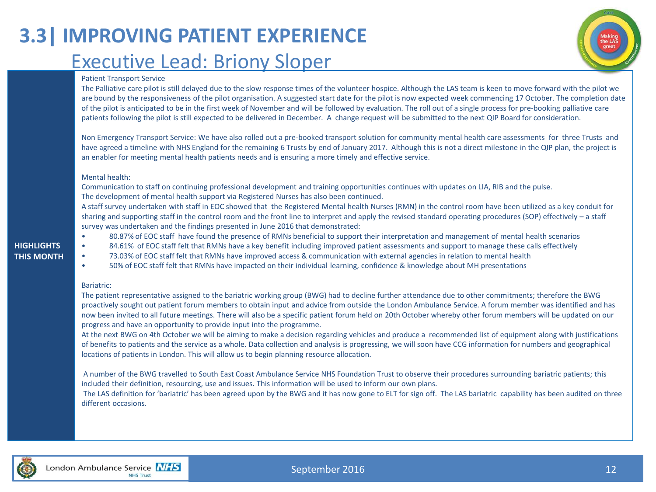# **3.3| IMPROVING PATIENT EXPERIENCE** Executive Lead: Briony Sloper

#### Patient Transport Service

The Palliative care pilot is still delayed due to the slow response times of the volunteer hospice. Although the LAS team is keen to move forward with the pilot we are bound by the responsiveness of the pilot organisation. A suggested start date for the pilot is now expected week commencing 17 October. The completion date of the pilot is anticipated to be in the first week of November and will be followed by evaluation. The roll out of a single process for pre-booking palliative care patients following the pilot is still expected to be delivered in December. A change request will be submitted to the next QIP Board for consideration.

Non Emergency Transport Service: We have also rolled out a pre-booked transport solution for community mental health care assessments for three Trusts and have agreed a timeline with NHS England for the remaining 6 Trusts by end of January 2017. Although this is not a direct milestone in the QIP plan, the project is an enabler for meeting mental health patients needs and is ensuring a more timely and effective service.

#### Mental health:

Communication to staff on continuing professional development and training opportunities continues with updates on LIA, RIB and the pulse. The development of mental health support via Registered Nurses has also been continued.

A staff survey undertaken with staff in EOC showed that the Registered Mental health Nurses (RMN) in the control room have been utilized as a key conduit for sharing and supporting staff in the control room and the front line to interpret and apply the revised standard operating procedures (SOP) effectively – a staff survey was undertaken and the findings presented in June 2016 that demonstrated:

**HIGHLIGHTS** 

**THIS MONTH**

- 80.87% of EOC staff have found the presence of RMNs beneficial to support their interpretation and management of mental health scenarios
- 84.61% of EOC staff felt that RMNs have a key benefit including improved patient assessments and support to manage these calls effectively
- 73.03% of EOC staff felt that RMNs have improved access & communication with external agencies in relation to mental health
- 50% of EOC staff felt that RMNs have impacted on their individual learning, confidence & knowledge about MH presentations

#### Bariatric:

The patient representative assigned to the bariatric working group (BWG) had to decline further attendance due to other commitments; therefore the BWG proactively sought out patient forum members to obtain input and advice from outside the London Ambulance Service. A forum member was identified and has now been invited to all future meetings. There will also be a specific patient forum held on 20th October whereby other forum members will be updated on our progress and have an opportunity to provide input into the programme.

At the next BWG on 4th October we will be aiming to make a decision regarding vehicles and produce a recommended list of equipment along with justifications of benefits to patients and the service as a whole. Data collection and analysis is progressing, we will soon have CCG information for numbers and geographical locations of patients in London. This will allow us to begin planning resource allocation.

A number of the BWG travelled to South East Coast Ambulance Service NHS Foundation Trust to observe their procedures surrounding bariatric patients; this included their definition, resourcing, use and issues. This information will be used to inform our own plans.

The LAS definition for 'bariatric' has been agreed upon by the BWG and it has now gone to ELT for sign off. The LAS bariatric capability has been audited on three different occasions.



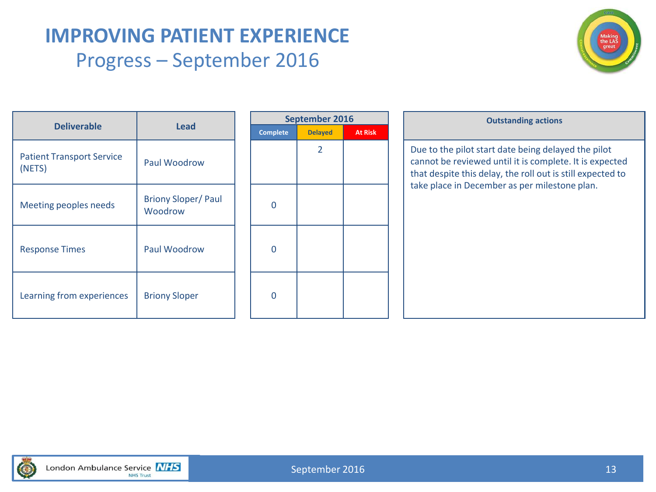# **IMPROVING PATIENT EXPERIENCE** Progress – September 2016



| <b>Deliverable</b>                         | <b>Lead</b>                          | Comp          |
|--------------------------------------------|--------------------------------------|---------------|
| <b>Patient Transport Service</b><br>(NETS) | Paul Woodrow                         |               |
| Meeting peoples needs                      | <b>Briony Sloper/Paul</b><br>Woodrow | O             |
| <b>Response Times</b>                      | Paul Woodrow                         | $\mathcal{L}$ |
| Learning from experiences                  | <b>Briony Sloper</b>                 | 0             |

| <b>September 2016</b> |                |                |  |  |  |  |
|-----------------------|----------------|----------------|--|--|--|--|
| <b>Complete</b>       | <b>Delayed</b> | <b>At Risk</b> |  |  |  |  |
|                       | $\overline{2}$ |                |  |  |  |  |
|                       |                |                |  |  |  |  |
|                       |                |                |  |  |  |  |
|                       |                |                |  |  |  |  |
| 0                     |                |                |  |  |  |  |
|                       |                |                |  |  |  |  |
| 0                     |                |                |  |  |  |  |
|                       |                |                |  |  |  |  |
|                       |                |                |  |  |  |  |
| በ                     |                |                |  |  |  |  |
|                       |                |                |  |  |  |  |
|                       |                |                |  |  |  |  |

#### **Outstanding actions**

Due to the pilot start date being delayed the pilot cannot be reviewed until it is complete. It is expected that despite this delay, the roll out is still expected to take place in December as per milestone plan.

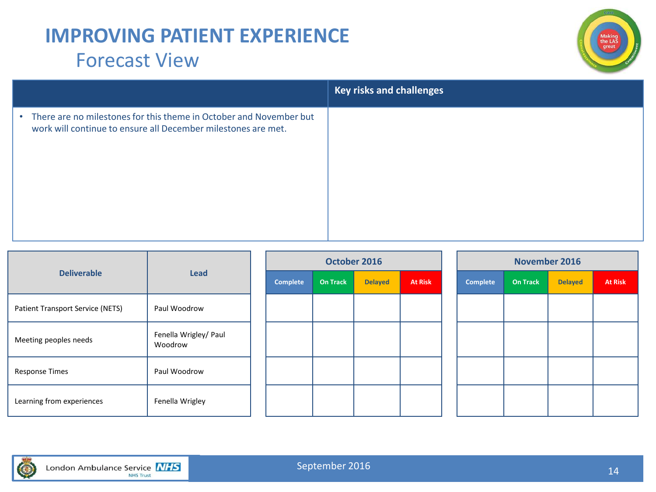# **IMPROVING PATIENT EXPERIENCE** Forecast View



|                                                                                                                                                  | <b>Key risks and challenges</b> |
|--------------------------------------------------------------------------------------------------------------------------------------------------|---------------------------------|
| There are no milestones for this theme in October and November but<br>$\bullet$<br>work will continue to ensure all December milestones are met. |                                 |

|                                  |                                  |          | October 2016 |                |                |                 | <b>November 2016</b> |                |                |
|----------------------------------|----------------------------------|----------|--------------|----------------|----------------|-----------------|----------------------|----------------|----------------|
| <b>Deliverable</b>               | Lead                             | Complete | On Track     | <b>Delayed</b> | <b>At Risk</b> | <b>Complete</b> | <b>On Track</b>      | <b>Delayed</b> | <b>At Risk</b> |
| Patient Transport Service (NETS) | Paul Woodrow                     |          |              |                |                |                 |                      |                |                |
| Meeting peoples needs            | Fenella Wrigley/ Paul<br>Woodrow |          |              |                |                |                 |                      |                |                |
| <b>Response Times</b>            | Paul Woodrow                     |          |              |                |                |                 |                      |                |                |
| Learning from experiences        | Fenella Wrigley                  |          |              |                |                |                 |                      |                |                |

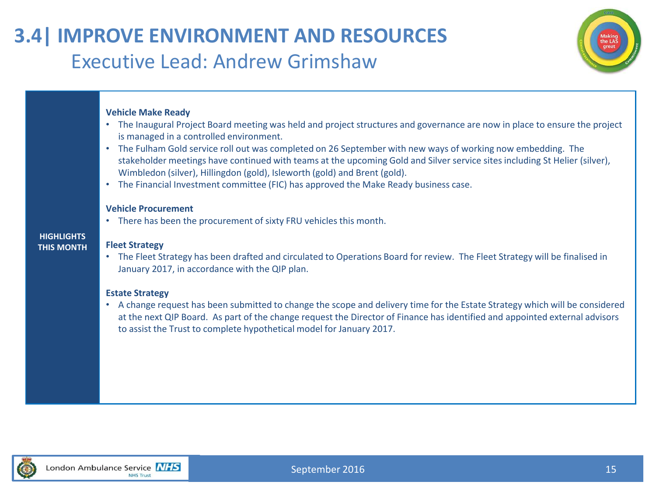# **3.4| IMPROVE ENVIRONMENT AND RESOURCES** Executive Lead: Andrew Grimshaw



### **Vehicle Make Ready**

- The Inaugural Project Board meeting was held and project structures and governance are now in place to ensure the project is managed in a controlled environment.
- The Fulham Gold service roll out was completed on 26 September with new ways of working now embedding. The stakeholder meetings have continued with teams at the upcoming Gold and Silver service sites including St Helier (silver), Wimbledon (silver), Hillingdon (gold), Isleworth (gold) and Brent (gold).
- The Financial Investment committee (FIC) has approved the Make Ready business case.

#### **Vehicle Procurement**

• There has been the procurement of sixty FRU vehicles this month.

### **HIGHLIGHTS THIS MONTH**

### **Fleet Strategy**

• The Fleet Strategy has been drafted and circulated to Operations Board for review. The Fleet Strategy will be finalised in January 2017, in accordance with the QIP plan.

### **Estate Strategy**

• A change request has been submitted to change the scope and delivery time for the Estate Strategy which will be considered at the next QIP Board. As part of the change request the Director of Finance has identified and appointed external advisors to assist the Trust to complete hypothetical model for January 2017.

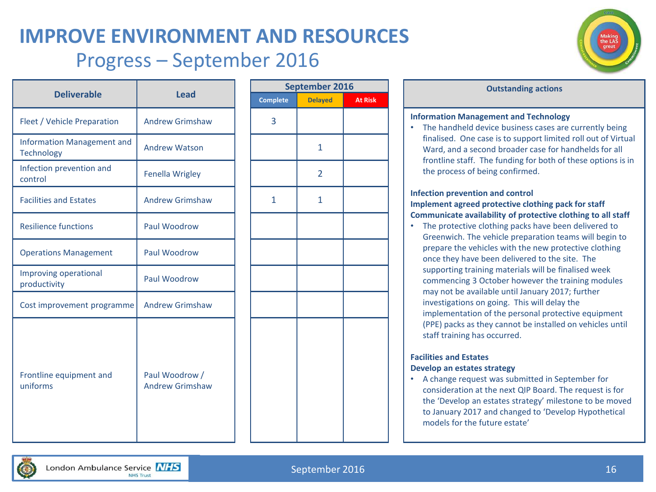# **IMPROVE ENVIRONMENT AND RESOURCES** Progress – September 2016



|                                                        |                                          |                 | <b>Septemb</b> |
|--------------------------------------------------------|------------------------------------------|-----------------|----------------|
| <b>Deliverable</b>                                     | <b>Lead</b>                              | <b>Complete</b> | <b>Delay</b>   |
| Fleet / Vehicle Preparation                            | <b>Andrew Grimshaw</b>                   | 3               |                |
| <b>Information Management and</b><br><b>Technology</b> | <b>Andrew Watson</b>                     |                 | 1              |
| Infection prevention and<br>control                    | <b>Fenella Wrigley</b>                   |                 | 2              |
| <b>Facilities and Estates</b>                          | <b>Andrew Grimshaw</b>                   | 1               | 1              |
| <b>Resilience functions</b>                            | Paul Woodrow                             |                 |                |
| <b>Operations Management</b>                           | Paul Woodrow                             |                 |                |
| Improving operational<br>productivity                  | Paul Woodrow                             |                 |                |
| Cost improvement programme                             | <b>Andrew Grimshaw</b>                   |                 |                |
| Frontline equipment and<br>uniforms                    | Paul Woodrow /<br><b>Andrew Grimshaw</b> |                 |                |

|                 |                | September 2016 |  |  |  |
|-----------------|----------------|----------------|--|--|--|
| <b>Complete</b> | <b>Delayed</b> | <b>At Risk</b> |  |  |  |
| 3               |                |                |  |  |  |
|                 | $\mathbf{1}$   |                |  |  |  |
|                 | $\overline{2}$ |                |  |  |  |
| $\mathbf{1}$    | $\mathbf{1}$   |                |  |  |  |
|                 |                |                |  |  |  |
|                 |                |                |  |  |  |
|                 |                |                |  |  |  |
|                 |                |                |  |  |  |
|                 |                |                |  |  |  |
|                 |                |                |  |  |  |
|                 |                |                |  |  |  |
|                 |                |                |  |  |  |
|                 |                |                |  |  |  |

#### **Outstanding** actions

#### **Information Management and Technology**

• The handheld device business cases are currently being finalised. One case is to support limited roll out of Virtual Ward, and a second broader case for handhelds for all frontline staff. The funding for both of these options is in the process of being confirmed.

#### **Infection prevention and control Implement agreed protective clothing pack for staff Communicate availability of protective clothing to all staff**

• The protective clothing packs have been delivered to Greenwich. The vehicle preparation teams will begin to prepare the vehicles with the new protective clothing once they have been delivered to the site. The supporting training materials will be finalised week commencing 3 October however the training modules may not be available until January 2017; further investigations on going. This will delay the implementation of the personal protective equipment (PPE) packs as they cannot be installed on vehicles until staff training has occurred.

#### **Facilities and Estates Develop an estates strategy**

• A change request was submitted in September for consideration at the next QIP Board. The request is for the 'Develop an estates strategy' milestone to be moved to January 2017 and changed to 'Develop Hypothetical models for the future estate'

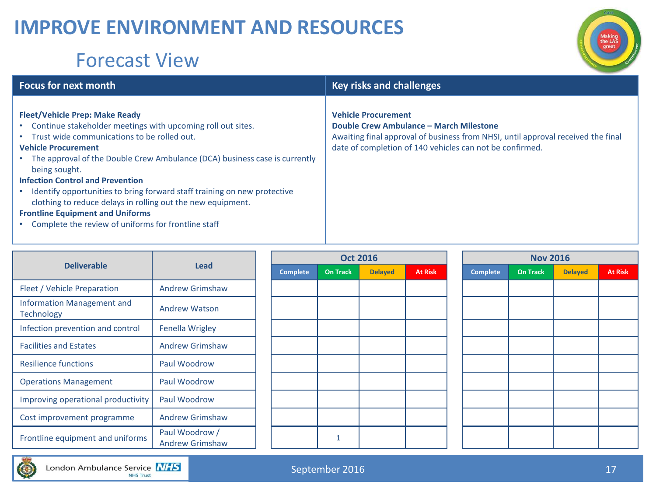# **IMPROVE ENVIRONMENT AND RESOURCES**

# Forecast View



### **Focus for next month Key risks and challenges Vehicle Procurement**

### **Fleet/Vehicle Prep: Make Ready**

- Continue stakeholder meetings with upcoming roll out sites.
- Trust wide communications to be rolled out.

### **Vehicle Procurement**

• The approval of the Double Crew Ambulance (DCA) business case is currently being sought.

#### **Infection Control and Prevention**

• Identify opportunities to bring forward staff training on new protective clothing to reduce delays in rolling out the new equipment.

### **Frontline Equipment and Uniforms**

• Complete the review of uniforms for frontline staff

| <b>Deliverable</b>                              | Lead                                     | <b>Complete</b> | On Ti |
|-------------------------------------------------|------------------------------------------|-----------------|-------|
| Fleet / Vehicle Preparation                     | <b>Andrew Grimshaw</b>                   |                 |       |
| <b>Information Management and</b><br>Technology | <b>Andrew Watson</b>                     |                 |       |
| Infection prevention and control                | Fenella Wrigley                          |                 |       |
| <b>Facilities and Estates</b>                   | <b>Andrew Grimshaw</b>                   |                 |       |
| <b>Resilience functions</b>                     | Paul Woodrow                             |                 |       |
| <b>Operations Management</b>                    | Paul Woodrow                             |                 |       |
| Improving operational productivity              | Paul Woodrow                             |                 |       |
| Cost improvement programme                      | <b>Andrew Grimshaw</b>                   |                 |       |
| Frontline equipment and uniforms                | Paul Woodrow /<br><b>Andrew Grimshaw</b> |                 | 1     |

| <b>Oct 2016</b> |                 |                |                | <b>Nov 2016</b> |                 |                |                |  |
|-----------------|-----------------|----------------|----------------|-----------------|-----------------|----------------|----------------|--|
| Complete        | <b>On Track</b> | <b>Delayed</b> | <b>At Risk</b> | <b>Complete</b> | <b>On Track</b> | <b>Delayed</b> | <b>At Risk</b> |  |
|                 |                 |                |                |                 |                 |                |                |  |
|                 |                 |                |                |                 |                 |                |                |  |
|                 |                 |                |                |                 |                 |                |                |  |
|                 |                 |                |                |                 |                 |                |                |  |
|                 |                 |                |                |                 |                 |                |                |  |
|                 |                 |                |                |                 |                 |                |                |  |
|                 |                 |                |                |                 |                 |                |                |  |
|                 |                 |                |                |                 |                 |                |                |  |
|                 |                 |                |                |                 |                 |                |                |  |
|                 | $\mathbf{1}$    |                |                |                 |                 |                |                |  |

**Double Crew Ambulance – March Milestone** 

date of completion of 140 vehicles can not be confirmed.

Awaiting final approval of business from NHSI, until approval received the final

| <b>Nov 2016</b> |                 |                |                |  |  |
|-----------------|-----------------|----------------|----------------|--|--|
| <b>Complete</b> | <b>On Track</b> | <b>Delayed</b> | <b>At Risk</b> |  |  |
|                 |                 |                |                |  |  |
|                 |                 |                |                |  |  |
|                 |                 |                |                |  |  |
|                 |                 |                |                |  |  |
|                 |                 |                |                |  |  |
|                 |                 |                |                |  |  |
|                 |                 |                |                |  |  |
|                 |                 |                |                |  |  |
|                 |                 |                |                |  |  |
|                 |                 |                |                |  |  |

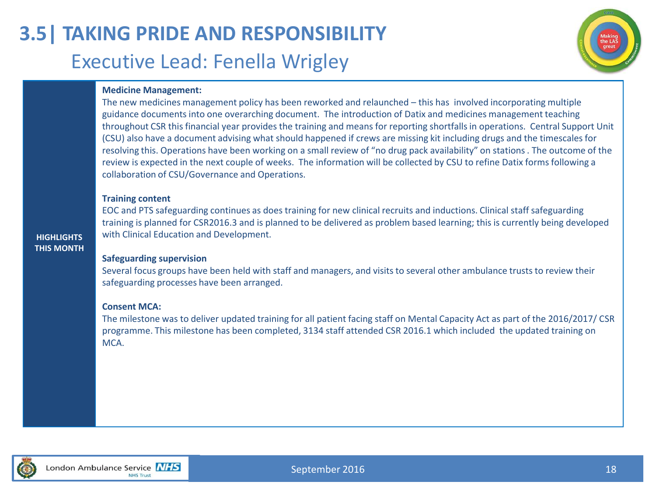# **3.5| TAKING PRIDE AND RESPONSIBILITY** Executive Lead: Fenella Wrigley



### **Medicine Management:**

The new medicines management policy has been reworked and relaunched – this has involved incorporating multiple guidance documents into one overarching document. The introduction of Datix and medicines management teaching throughout CSR this financial year provides the training and means for reporting shortfalls in operations. Central Support Unit (CSU) also have a document advising what should happened if crews are missing kit including drugs and the timescales for resolving this. Operations have been working on a small review of "no drug pack availability" on stations . The outcome of the review is expected in the next couple of weeks. The information will be collected by CSU to refine Datix forms following a collaboration of CSU/Governance and Operations.

#### **Training content**

EOC and PTS safeguarding continues as does training for new clinical recruits and inductions. Clinical staff safeguarding training is planned for CSR2016.3 and is planned to be delivered as problem based learning; this is currently being developed with Clinical Education and Development.

**HIGHLIGHTS THIS MONTH**

### **Safeguarding supervision**

Several focus groups have been held with staff and managers, and visits to several other ambulance trusts to review their safeguarding processes have been arranged.

#### **Consent MCA:**

The milestone was to deliver updated training for all patient facing staff on Mental Capacity Act as part of the 2016/2017/ CSR programme. This milestone has been completed, 3134 staff attended CSR 2016.1 which included the updated training on MCA.

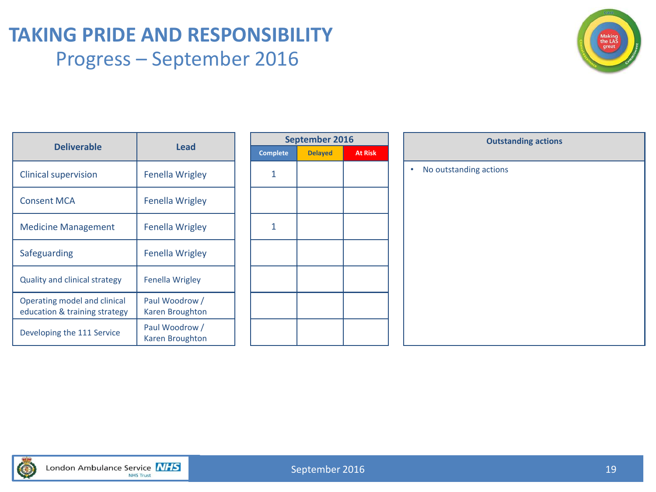### **TAKING PRIDE AND RESPONSIBILITY** Progress – September 2016



| <b>Deliverable</b>                                            | Lead                              |      |
|---------------------------------------------------------------|-----------------------------------|------|
|                                                               |                                   | Comp |
| <b>Clinical supervision</b>                                   | Fenella Wrigley                   | 1    |
| <b>Consent MCA</b>                                            | Fenella Wrigley                   |      |
| <b>Medicine Management</b>                                    | Fenella Wrigley                   | 1    |
| Safeguarding                                                  | <b>Fenella Wrigley</b>            |      |
| <b>Quality and clinical strategy</b>                          | Fenella Wrigley                   |      |
| Operating model and clinical<br>education & training strategy | Paul Woodrow /<br>Karen Broughton |      |
| Developing the 111 Service                                    | Paul Woodrow /<br>Karen Broughton |      |
|                                                               |                                   |      |

| September 2016  |                |                |  |  |  |
|-----------------|----------------|----------------|--|--|--|
| <b>Complete</b> | <b>Delayed</b> | <b>At Risk</b> |  |  |  |
| 1               |                |                |  |  |  |
|                 |                |                |  |  |  |
| 1               |                |                |  |  |  |
|                 |                |                |  |  |  |
|                 |                |                |  |  |  |
|                 |                |                |  |  |  |
|                 |                |                |  |  |  |

| September 2016 |                |         | <b>Outstanding actions</b>          |  |  |
|----------------|----------------|---------|-------------------------------------|--|--|
| ė              | <b>Delayed</b> | At Risk |                                     |  |  |
|                |                |         | No outstanding actions<br>$\bullet$ |  |  |
|                |                |         |                                     |  |  |
|                |                |         |                                     |  |  |
|                |                |         |                                     |  |  |
|                |                |         |                                     |  |  |
|                |                |         |                                     |  |  |
|                |                |         |                                     |  |  |
|                |                |         |                                     |  |  |
|                |                |         |                                     |  |  |
|                |                |         |                                     |  |  |
|                |                |         |                                     |  |  |